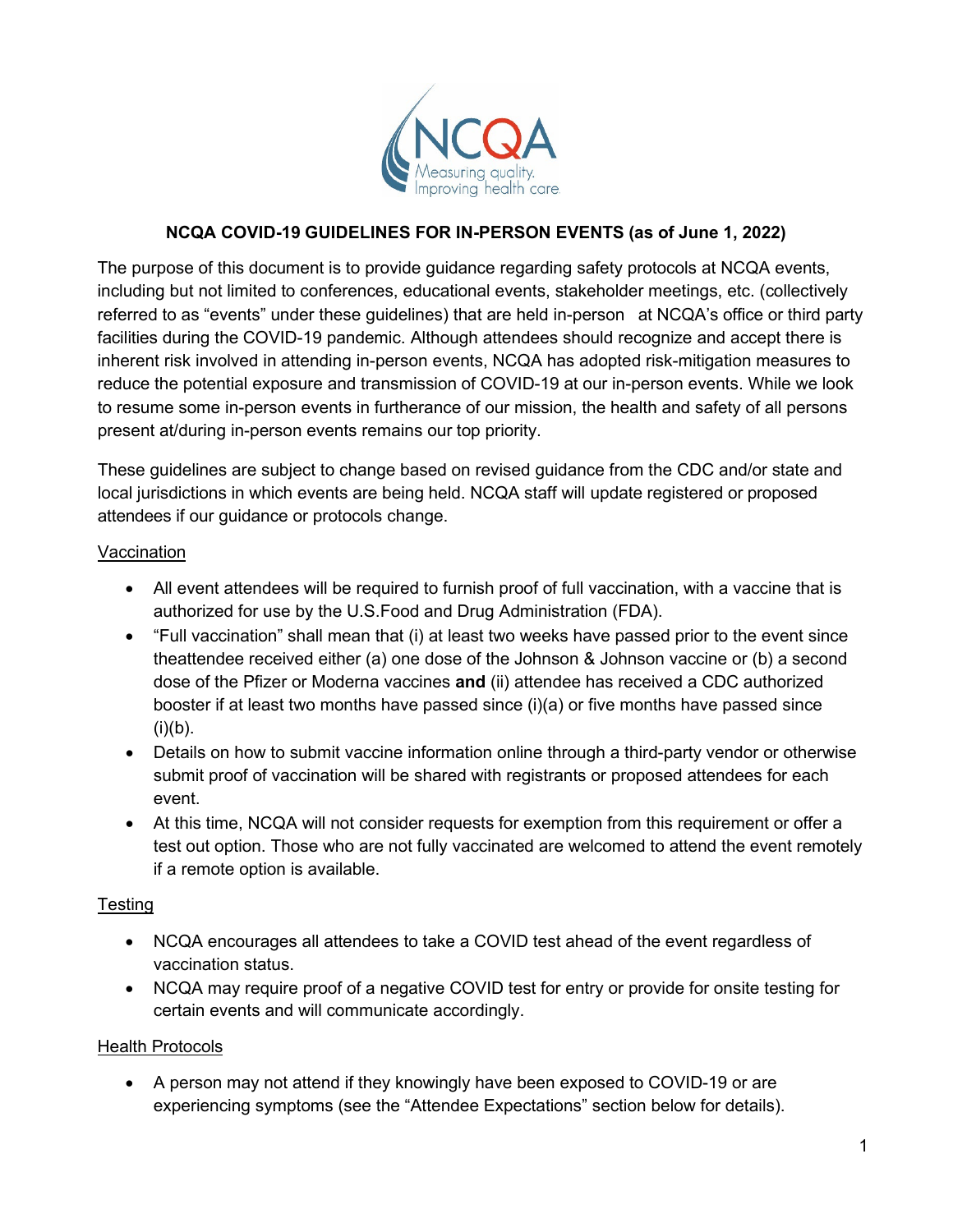

# **NCQA COVID-19 GUIDELINES FOR IN-PERSON EVENTS (as of June 1, 2022)**

The purpose of this document is to provide guidance regarding safety protocols at NCQA events, including but not limited to conferences, educational events, stakeholder meetings, etc. (collectively referred to as "events" under these guidelines) that are held in-person at NCQA's office or third party facilities during the COVID-19 pandemic. Although attendees should recognize and accept there is inherent risk involved in attending in-person events, NCQA has adopted risk-mitigation measures to reduce the potential exposure and transmission of COVID-19 at our in-person events. While we look to resume some in-person events in furtherance of our mission, the health and safety of all persons present at/during in-person events remains our top priority.

These guidelines are subject to change based on revised guidance from the CDC and/or state and local jurisdictions in which events are being held. NCQA staff will update registered or proposed attendees if our guidance or protocols change.

#### Vaccination

- All event attendees will be required to furnish proof of full vaccination, with a vaccine that is authorized for use by the U.S.Food and Drug Administration (FDA).
- "Full vaccination" shall mean that (i) at least two weeks have passed prior to the event since theattendee received either (a) one dose of the Johnson & Johnson vaccine or (b) a second dose of the Pfizer or Moderna vaccines **and** (ii) attendee has received a CDC authorized booster if at least two months have passed since (i)(a) or five months have passed since  $(i)(b)$ .
- Details on how to submit vaccine information online through a third-party vendor or otherwise submit proof of vaccination will be shared with registrants or proposed attendees for each event.
- At this time, NCQA will not consider requests for exemption from this requirement or offer a test out option. Those who are not fully vaccinated are welcomed to attend the event remotely if a remote option is available.

## **Testing**

- NCQA encourages all attendees to take a COVID test ahead of the event regardless of vaccination status.
- NCQA may require proof of a negative COVID test for entry or provide for onsite testing for certain events and will communicate accordingly.

## Health Protocols

• A person may not attend if they knowingly have been exposed to COVID-19 or are experiencing symptoms (see the "Attendee Expectations" section below for details).